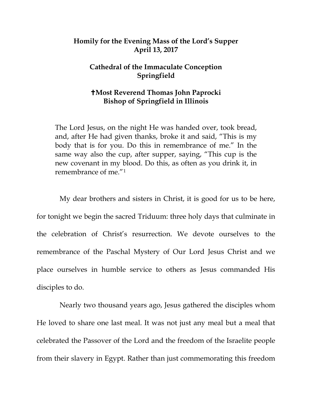## **Homily for the Evening Mass of the Lord's Supper April 13, 2017**

## **Cathedral of the Immaculate Conception Springfield**

## **Most Reverend Thomas John Paprocki Bishop of Springfield in Illinois**

The Lord Jesus, on the night He was handed over, took bread, and, after He had given thanks, broke it and said, "This is my body that is for you. Do this in remembrance of me." In the same way also the cup, after supper, saying, "This cup is the new covenant in my blood. Do this, as often as you drink it, in remembrance of me."[1](#page-5-0)

My dear brothers and sisters in Christ, it is good for us to be here, for tonight we begin the sacred Triduum: three holy days that culminate in the celebration of Christ's resurrection. We devote ourselves to the remembrance of the Paschal Mystery of Our Lord Jesus Christ and we place ourselves in humble service to others as Jesus commanded His disciples to do.

Nearly two thousand years ago, Jesus gathered the disciples whom He loved to share one last meal. It was not just any meal but a meal that celebrated the Passover of the Lord and the freedom of the Israelite people from their slavery in Egypt. Rather than just commemorating this freedom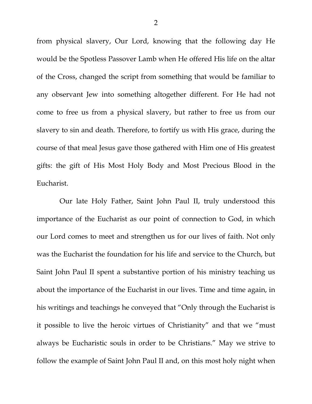from physical slavery, Our Lord, knowing that the following day He would be the Spotless Passover Lamb when He offered His life on the altar of the Cross, changed the script from something that would be familiar to any observant Jew into something altogether different. For He had not come to free us from a physical slavery, but rather to free us from our slavery to sin and death. Therefore, to fortify us with His grace, during the course of that meal Jesus gave those gathered with Him one of His greatest gifts: the gift of His Most Holy Body and Most Precious Blood in the Eucharist.

Our late Holy Father, Saint John Paul II, truly understood this importance of the Eucharist as our point of connection to God, in which our Lord comes to meet and strengthen us for our lives of faith. Not only was the Eucharist the foundation for his life and service to the Church, but Saint John Paul II spent a substantive portion of his ministry teaching us about the importance of the Eucharist in our lives. Time and time again, in his writings and teachings he conveyed that "Only through the Eucharist is it possible to live the heroic virtues of Christianity" and that we "must always be Eucharistic souls in order to be Christians." May we strive to follow the example of Saint John Paul II and, on this most holy night when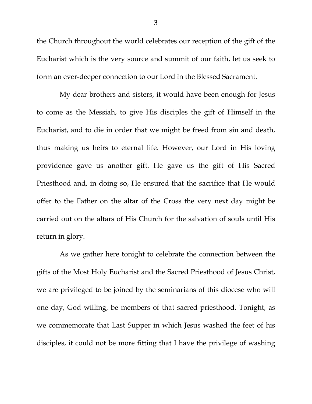the Church throughout the world celebrates our reception of the gift of the Eucharist which is the very source and summit of our faith, let us seek to form an ever-deeper connection to our Lord in the Blessed Sacrament.

My dear brothers and sisters, it would have been enough for Jesus to come as the Messiah, to give His disciples the gift of Himself in the Eucharist, and to die in order that we might be freed from sin and death, thus making us heirs to eternal life. However, our Lord in His loving providence gave us another gift. He gave us the gift of His Sacred Priesthood and, in doing so, He ensured that the sacrifice that He would offer to the Father on the altar of the Cross the very next day might be carried out on the altars of His Church for the salvation of souls until His return in glory.

As we gather here tonight to celebrate the connection between the gifts of the Most Holy Eucharist and the Sacred Priesthood of Jesus Christ, we are privileged to be joined by the seminarians of this diocese who will one day, God willing, be members of that sacred priesthood. Tonight, as we commemorate that Last Supper in which Jesus washed the feet of his disciples, it could not be more fitting that I have the privilege of washing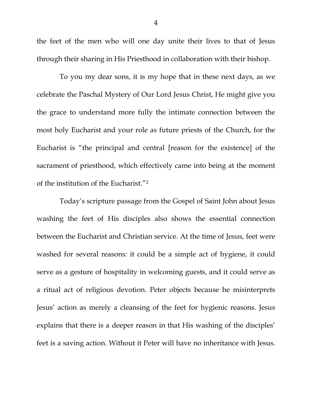the feet of the men who will one day unite their lives to that of Jesus through their sharing in His Priesthood in collaboration with their bishop.

To you my dear sons, it is my hope that in these next days, as we celebrate the Paschal Mystery of Our Lord Jesus Christ, He might give you the grace to understand more fully the intimate connection between the most holy Eucharist and your role as future priests of the Church, for the Eucharist is "the principal and central [reason for the existence] of the sacrament of priesthood, which effectively came into being at the moment of the institution of the Eucharist."[2](#page-5-1)

Today's scripture passage from the Gospel of Saint John about Jesus washing the feet of His disciples also shows the essential connection between the Eucharist and Christian service. At the time of Jesus, feet were washed for several reasons: it could be a simple act of hygiene, it could serve as a gesture of hospitality in welcoming guests, and it could serve as a ritual act of religious devotion. Peter objects because he misinterprets Jesus' action as merely a cleansing of the feet for hygienic reasons. Jesus explains that there is a deeper reason in that His washing of the disciples' feet is a saving action. Without it Peter will have no inheritance with Jesus.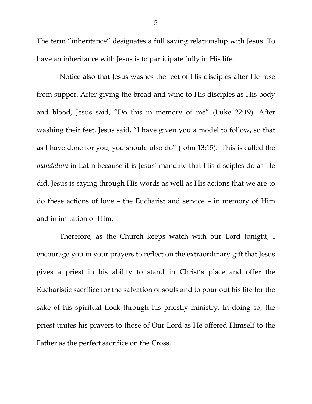The term "inheritance" designates a full saving relationship with Jesus. To have an inheritance with Jesus is to participate fully in His life.

Notice also that Jesus washes the feet of His disciples after He rose from supper. After giving the bread and wine to His disciples as His body and blood, Jesus said, "Do this in memory of me" (Luke 22:19). After washing their feet, Jesus said, "I have given you a model to follow, so that as I have done for you, you should also do" (John 13:15). This is called the *mandatum* in Latin because it is Jesus' mandate that His disciples do as He did. Jesus is saying through His words as well as His actions that we are to do these actions of love – the Eucharist and service – in memory of Him and in imitation of Him.

Therefore, as the Church keeps watch with our Lord tonight, I encourage you in your prayers to reflect on the extraordinary gift that Jesus gives a priest in his ability to stand in Christ's place and offer the Eucharistic sacrifice for the salvation of souls and to pour out his life for the sake of his spiritual flock through his priestly ministry. In doing so, the priest unites his prayers to those of Our Lord as He offered Himself to the Father as the perfect sacrifice on the Cross.